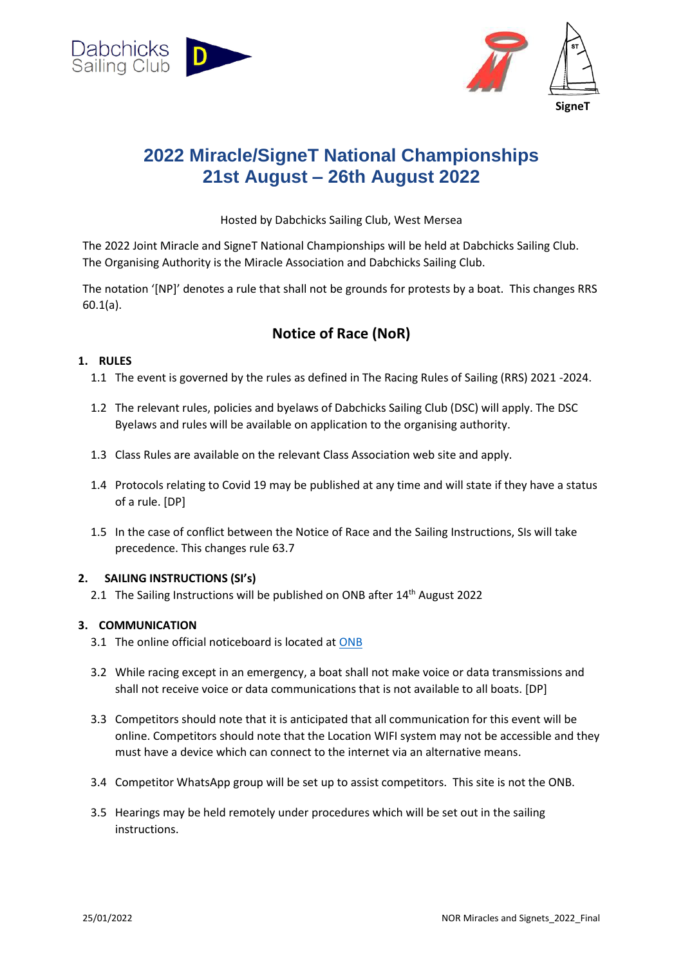



# **2022 Miracle/SigneT National Championships 21st August – 26th August 2022**

Hosted by Dabchicks Sailing Club, West Mersea

The 2022 Joint Miracle and SigneT National Championships will be held at Dabchicks Sailing Club. The Organising Authority is the Miracle Association and Dabchicks Sailing Club.

The notation '[NP]' denotes a rule that shall not be grounds for protests by a boat. This changes RRS 60.1(a).

## **Notice of Race (NoR)**

## **1. RULES**

- 1.1 The event is governed by the rules as defined in The Racing Rules of Sailing (RRS) 2021 -2024.
- 1.2 The relevant rules, policies and byelaws of Dabchicks Sailing Club (DSC) will apply. The DSC Byelaws and rules will be available on application to the organising authority.
- 1.3 Class Rules are available on the relevant Class Association web site and apply.
- 1.4 Protocols relating to Covid 19 may be published at any time and will state if they have a status of a rule. [DP]
- 1.5 In the case of conflict between the Notice of Race and the Sailing Instructions, SIs will take precedence. This changes rule 63.7

## **2. SAILING INSTRUCTIONS (SI's)**

2.1 The Sailing Instructions will be published on ONB after 14<sup>th</sup> August 2022

## **3. COMMUNICATION**

- 3.1 The online official noticeboard is located a[t ONB](https://www.racingrulesofsailing.org/documents/3152/event)
- 3.2 While racing except in an emergency, a boat shall not make voice or data transmissions and shall not receive voice or data communications that is not available to all boats. [DP]
- 3.3 Competitors should note that it is anticipated that all communication for this event will be online. Competitors should note that the Location WIFI system may not be accessible and they must have a device which can connect to the internet via an alternative means.
- 3.4 Competitor WhatsApp group will be set up to assist competitors. This site is not the ONB.
- 3.5 Hearings may be held remotely under procedures which will be set out in the sailing instructions.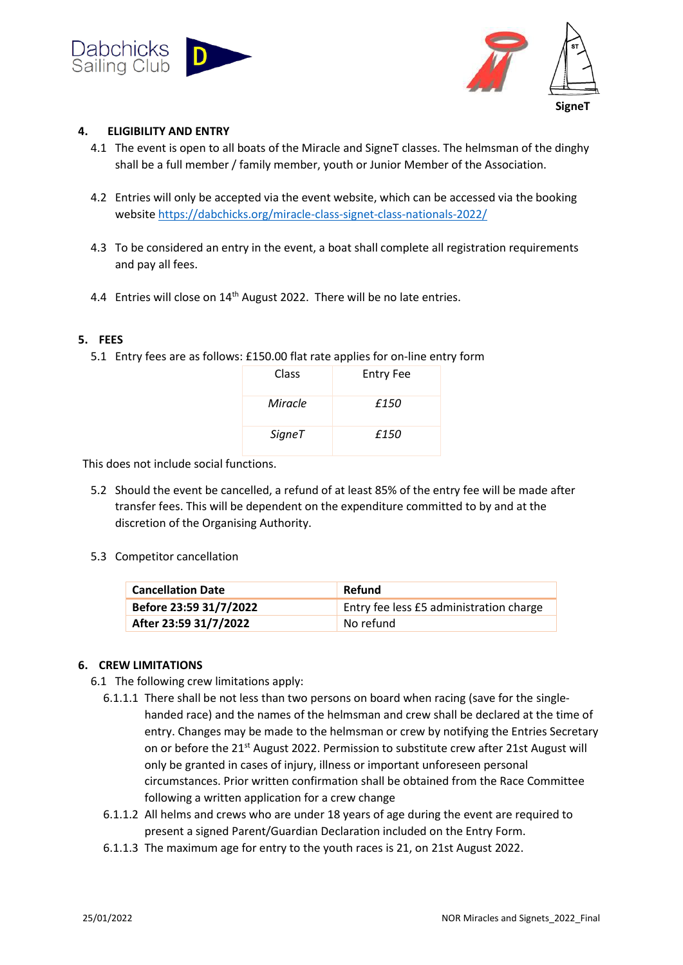



#### **4. ELIGIBILITY AND ENTRY**

- 4.1 The event is open to all boats of the Miracle and SigneT classes. The helmsman of the dinghy shall be a full member / family member, youth or Junior Member of the Association.
- 4.2 Entries will only be accepted via the event website, which can be accessed via the booking website <https://dabchicks.org/miracle-class-signet-class-nationals-2022/>
- 4.3 To be considered an entry in the event, a boat shall complete all registration requirements and pay all fees.
- 4.4 Entries will close on 14<sup>th</sup> August 2022. There will be no late entries.

#### **5. FEES**

5.1 Entry fees are as follows: £150.00 flat rate applies for on-line entry form

| Class   | <b>Entry Fee</b> |
|---------|------------------|
| Miracle | £150             |
| SigneT  | £150             |

This does not include social functions.

- 5.2 Should the event be cancelled, a refund of at least 85% of the entry fee will be made after transfer fees. This will be dependent on the expenditure committed to by and at the discretion of the Organising Authority.
- 5.3 Competitor cancellation

| <b>Cancellation Date</b> | Refund                                  |
|--------------------------|-----------------------------------------|
| Before 23:59 31/7/2022   | Entry fee less £5 administration charge |
| After 23:59 31/7/2022    | No refund                               |

#### **6. CREW LIMITATIONS**

- 6.1 The following crew limitations apply:
	- 6.1.1.1 There shall be not less than two persons on board when racing (save for the singlehanded race) and the names of the helmsman and crew shall be declared at the time of entry. Changes may be made to the helmsman or crew by notifying the Entries Secretary on or before the 21st August 2022. Permission to substitute crew after 21st August will only be granted in cases of injury, illness or important unforeseen personal circumstances. Prior written confirmation shall be obtained from the Race Committee following a written application for a crew change
	- 6.1.1.2 All helms and crews who are under 18 years of age during the event are required to present a signed Parent/Guardian Declaration included on the Entry Form.
	- 6.1.1.3 The maximum age for entry to the youth races is 21, on 21st August 2022.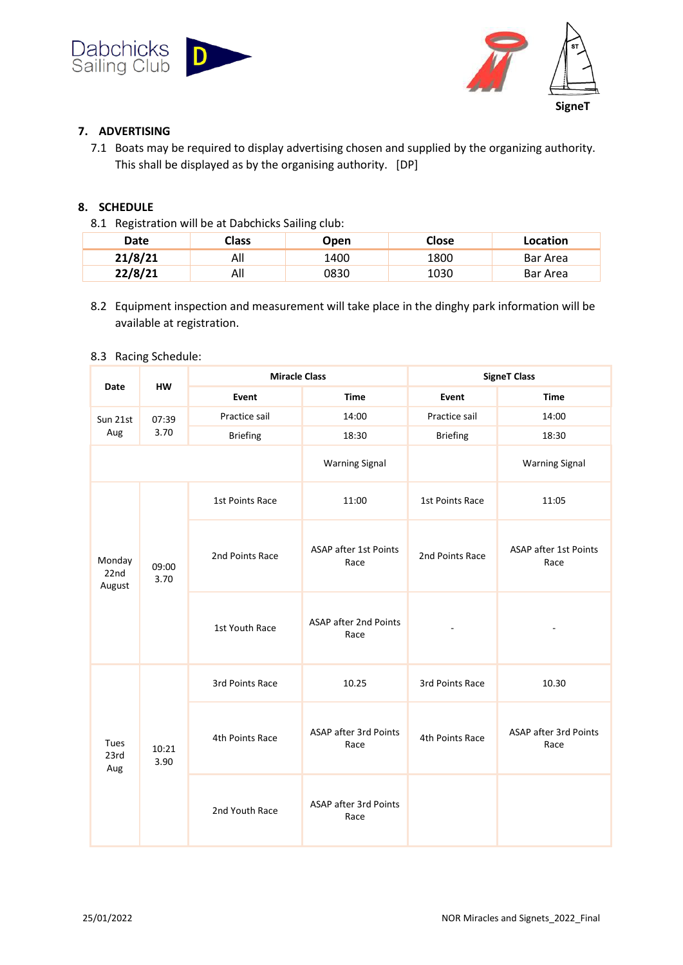



## **7. ADVERTISING**

7.1 Boats may be required to display advertising chosen and supplied by the organizing authority. This shall be displayed as by the organising authority. [DP]

## **8. SCHEDULE**

8.1 Registration will be at Dabchicks Sailing club:

| Date    | <b>Class</b> | Open | Close | Location |
|---------|--------------|------|-------|----------|
| 21/8/21 | All          | 1400 | 1800  | Bar Area |
| 22/8/21 | All          | 0830 | 1030  | Bar Area |

8.2 Equipment inspection and measurement will take place in the dinghy park information will be available at registration.

#### 8.3 Racing Schedule:

| <b>HW</b><br>Date        |               | <b>Miracle Class</b> |                                      | <b>SigneT Class</b> |                                      |
|--------------------------|---------------|----------------------|--------------------------------------|---------------------|--------------------------------------|
|                          | Event         | <b>Time</b>          | Event                                | <b>Time</b>         |                                      |
| Sun 21st                 | 07:39         | Practice sail        | 14:00                                | Practice sail       | 14:00                                |
| Aug                      | 3.70          | <b>Briefing</b>      | 18:30                                | <b>Briefing</b>     | 18:30                                |
|                          |               |                      | <b>Warning Signal</b>                |                     | <b>Warning Signal</b>                |
| Monday<br>22nd<br>August | 09:00<br>3.70 | 1st Points Race      | 11:00                                | 1st Points Race     | 11:05                                |
|                          |               | 2nd Points Race      | <b>ASAP after 1st Points</b><br>Race | 2nd Points Race     | <b>ASAP after 1st Points</b><br>Race |
|                          |               | 1st Youth Race       | <b>ASAP after 2nd Points</b><br>Race |                     |                                      |
| Tues<br>23rd<br>Aug      | 10:21<br>3.90 | 3rd Points Race      | 10.25                                | 3rd Points Race     | 10.30                                |
|                          |               | 4th Points Race      | ASAP after 3rd Points<br>Race        | 4th Points Race     | ASAP after 3rd Points<br>Race        |
|                          |               | 2nd Youth Race       | ASAP after 3rd Points<br>Race        |                     |                                      |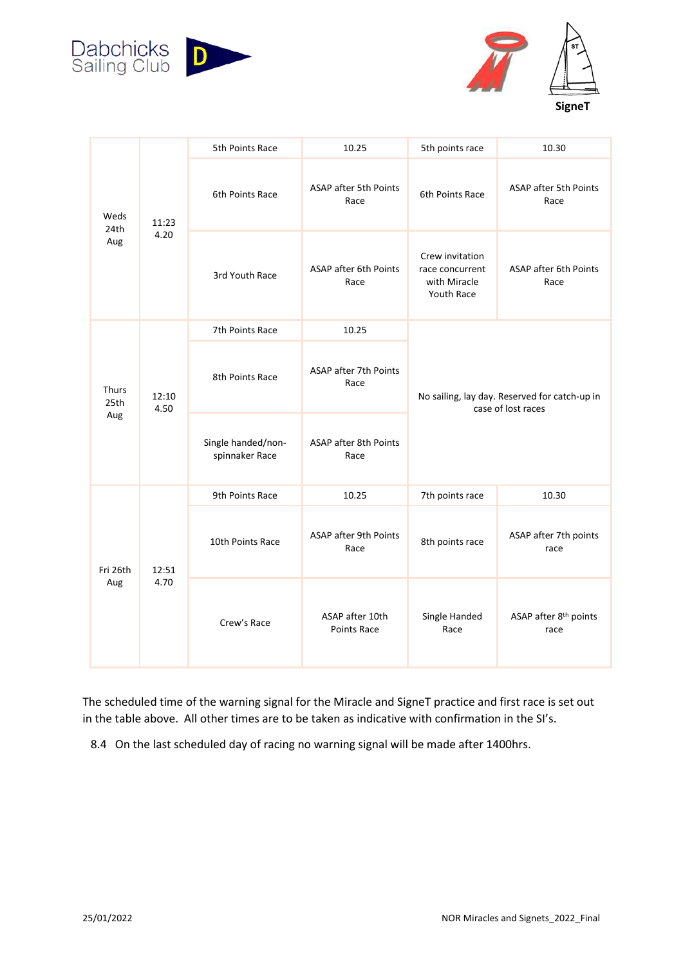



|                      | 11:23<br>4.20 | 5th Points Race                      | 10.25                                 | 5th points race                                                     | 10.30                                     |
|----------------------|---------------|--------------------------------------|---------------------------------------|---------------------------------------------------------------------|-------------------------------------------|
| Weds<br>24th<br>Aug  |               | 6th Points Race                      | ASAP after 5th Points<br>Race         | 6th Points Race                                                     | ASAP after 5th Points<br>Race             |
|                      |               | 3rd Youth Race                       | ASAP after 6th Points<br>Race         | Crew invitation<br>race concurrent<br>with Miracle<br>Youth Race    | ASAP after 6th Points<br>Race             |
|                      |               | 7th Points Race                      | 10.25                                 |                                                                     |                                           |
| Thurs<br>25th<br>Aug | 12:10<br>4.50 | 8th Points Race                      | ASAP after 7th Points<br>Race         | No sailing, lay day. Reserved for catch-up in<br>case of lost races |                                           |
|                      |               | Single handed/non-<br>spinnaker Race | ASAP after 8th Points<br>Race         |                                                                     |                                           |
|                      |               | 9th Points Race                      | 10.25                                 | 7th points race                                                     | 10.30                                     |
| Fri 26th<br>Aug      | 12:51<br>4.70 | 10th Points Race                     | ASAP after 9th Points<br>Race         | 8th points race                                                     | ASAP after 7th points<br>race             |
|                      |               | Crew's Race                          | ASAP after 10th<br><b>Points Race</b> | Single Handed<br>Race                                               | ASAP after 8 <sup>th</sup> points<br>race |

The scheduled time of the warning signal for the Miracle and SigneT practice and first race is set out in the table above. All other times are to be taken as indicative with confirmation in the SI's.

8.4 On the last scheduled day of racing no warning signal will be made after 1400hrs.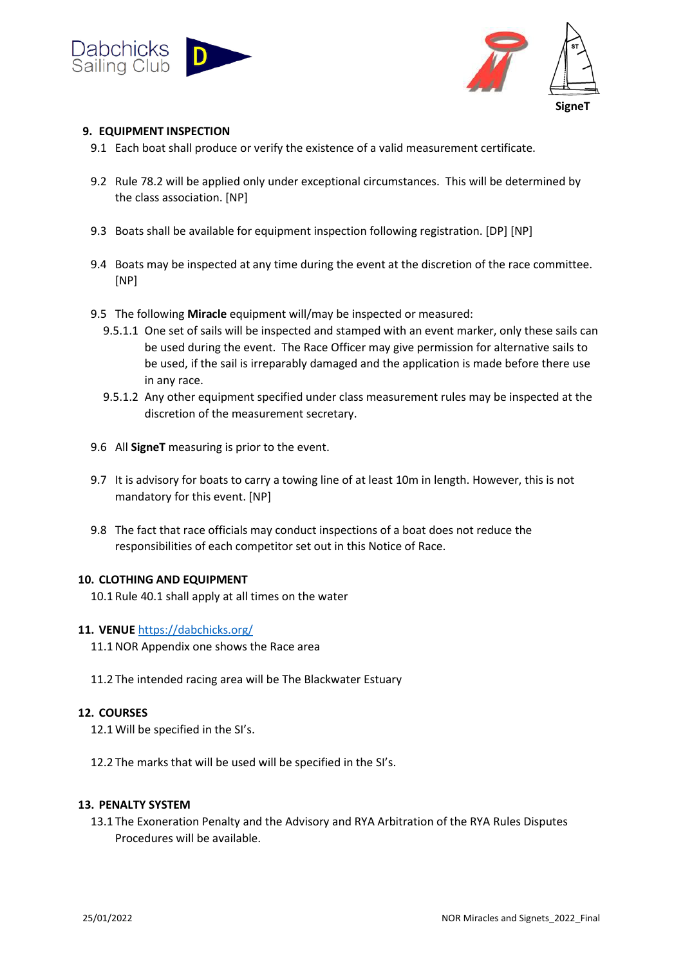



#### **9. EQUIPMENT INSPECTION**

- 9.1 Each boat shall produce or verify the existence of a valid measurement certificate.
- 9.2 Rule 78.2 will be applied only under exceptional circumstances. This will be determined by the class association. [NP]
- 9.3 Boats shall be available for equipment inspection following registration. [DP] [NP]
- 9.4 Boats may be inspected at any time during the event at the discretion of the race committee. [NP]
- 9.5 The following **Miracle** equipment will/may be inspected or measured:
	- 9.5.1.1 One set of sails will be inspected and stamped with an event marker, only these sails can be used during the event. The Race Officer may give permission for alternative sails to be used, if the sail is irreparably damaged and the application is made before there use in any race.
	- 9.5.1.2 Any other equipment specified under class measurement rules may be inspected at the discretion of the measurement secretary.
- 9.6 All **SigneT** measuring is prior to the event.
- 9.7 It is advisory for boats to carry a towing line of at least 10m in length. However, this is not mandatory for this event. [NP]
- 9.8 The fact that race officials may conduct inspections of a boat does not reduce the responsibilities of each competitor set out in this Notice of Race.

#### **10. CLOTHING AND EQUIPMENT**

10.1 Rule 40.1 shall apply at all times on the water

#### **11. VENUE** <https://dabchicks.org/>

- 11.1 NOR Appendix one shows the Race area
- 11.2 The intended racing area will be The Blackwater Estuary

#### **12. COURSES**

- 12.1Will be specified in the SI's.
- 12.2 The marks that will be used will be specified in the SI's.

#### **13. PENALTY SYSTEM**

13.1 The Exoneration Penalty and the Advisory and RYA Arbitration of the RYA Rules Disputes Procedures will be available.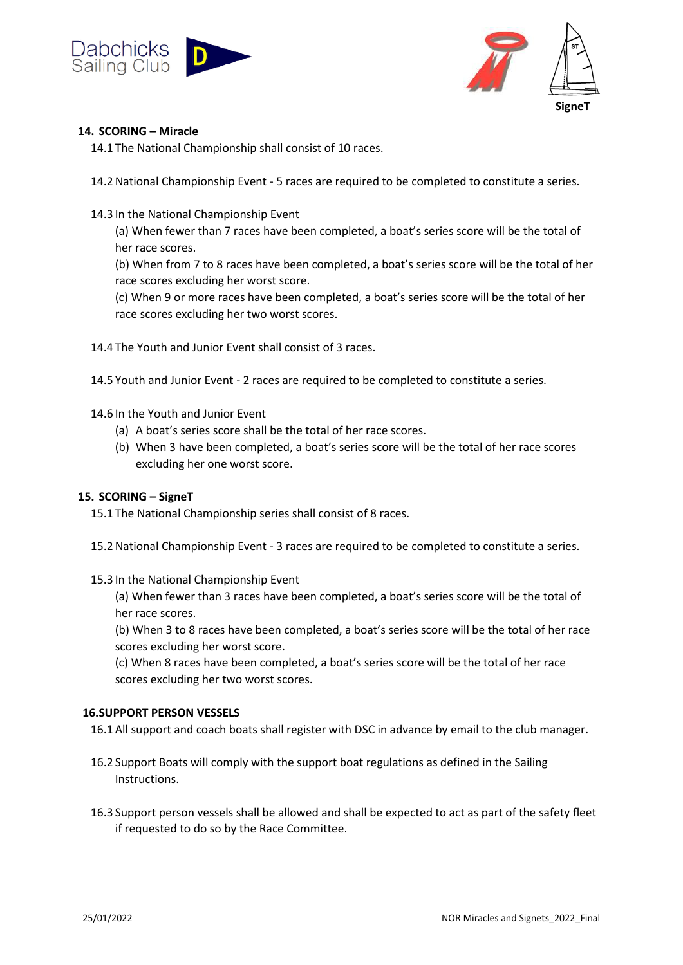



#### **14. SCORING – Miracle**

14.1 The National Championship shall consist of 10 races.

14.2National Championship Event - 5 races are required to be completed to constitute a series.

14.3 In the National Championship Event

(a) When fewer than 7 races have been completed, a boat's series score will be the total of her race scores.

(b) When from 7 to 8 races have been completed, a boat's series score will be the total of her race scores excluding her worst score.

(c) When 9 or more races have been completed, a boat's series score will be the total of her race scores excluding her two worst scores.

14.4 The Youth and Junior Event shall consist of 3 races.

14.5 Youth and Junior Event - 2 races are required to be completed to constitute a series.

14.6 In the Youth and Junior Event

- (a) A boat's series score shall be the total of her race scores.
- (b) When 3 have been completed, a boat's series score will be the total of her race scores excluding her one worst score.

#### **15. SCORING – SigneT**

15.1 The National Championship series shall consist of 8 races.

- 15.2National Championship Event 3 races are required to be completed to constitute a series.
- 15.3 In the National Championship Event

(a) When fewer than 3 races have been completed, a boat's series score will be the total of her race scores.

(b) When 3 to 8 races have been completed, a boat's series score will be the total of her race scores excluding her worst score.

(c) When 8 races have been completed, a boat's series score will be the total of her race scores excluding her two worst scores.

#### **16.SUPPORT PERSON VESSELS**

16.1All support and coach boats shall register with DSC in advance by email to the club manager.

- 16.2 Support Boats will comply with the support boat regulations as defined in the Sailing Instructions.
- 16.3 Support person vessels shall be allowed and shall be expected to act as part of the safety fleet if requested to do so by the Race Committee.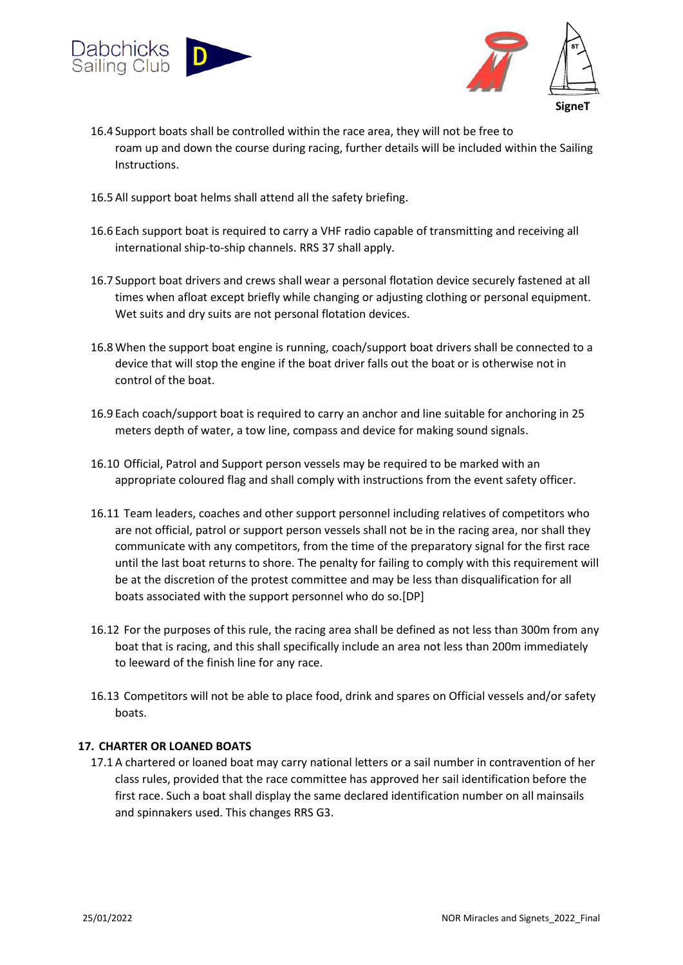



- 16.4 Support boats shall be controlled within the race area, they will not be free to roam up and down the course during racing, further details will be included within the Sailing Instructions.
- 16.5All support boat helms shall attend all the safety briefing.
- 16.6 Each support boat is required to carry a VHF radio capable of transmitting and receiving all international ship-to-ship channels. RRS 37 shall apply.
- 16.7 Support boat drivers and crews shall wear a personal flotation device securely fastened at all times when afloat except briefly while changing or adjusting clothing or personal equipment. Wet suits and dry suits are not personal flotation devices.
- 16.8When the support boat engine is running, coach/support boat drivers shall be connected to a device that will stop the engine if the boat driver falls out the boat or is otherwise not in control of the boat.
- 16.9 Each coach/support boat is required to carry an anchor and line suitable for anchoring in 25 meters depth of water, a tow line, compass and device for making sound signals.
- 16.10 Official, Patrol and Support person vessels may be required to be marked with an appropriate coloured flag and shall comply with instructions from the event safety officer.
- 16.11 Team leaders, coaches and other support personnel including relatives of competitors who are not official, patrol or support person vessels shall not be in the racing area, nor shall they communicate with any competitors, from the time of the preparatory signal for the first race until the last boat returns to shore. The penalty for failing to comply with this requirement will be at the discretion of the protest committee and may be less than disqualification for all boats associated with the support personnel who do so.[DP]
- 16.12 For the purposes of this rule, the racing area shall be defined as not less than 300m from any boat that is racing, and this shall specifically include an area not less than 200m immediately to leeward of the finish line for any race.
- 16.13 Competitors will not be able to place food, drink and spares on Official vessels and/or safety boats.

#### **17. CHARTER OR LOANED BOATS**

17.1A chartered or loaned boat may carry national letters or a sail number in contravention of her class rules, provided that the race committee has approved her sail identification before the first race. Such a boat shall display the same declared identification number on all mainsails and spinnakers used. This changes RRS G3.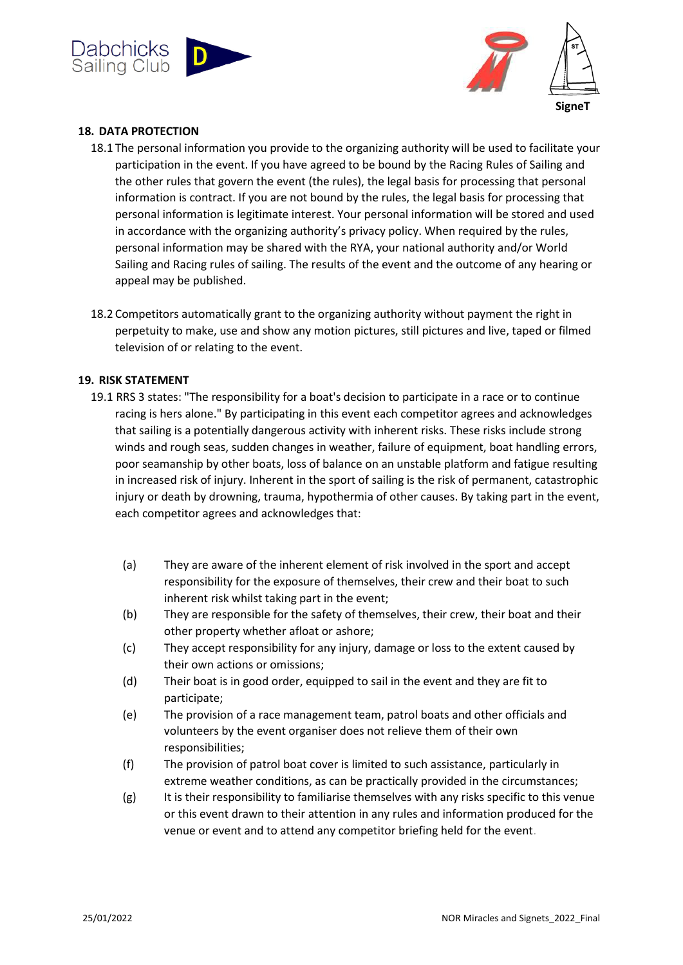



#### **18. DATA PROTECTION**

- 18.1 The personal information you provide to the organizing authority will be used to facilitate your participation in the event. If you have agreed to be bound by the Racing Rules of Sailing and the other rules that govern the event (the rules), the legal basis for processing that personal information is contract. If you are not bound by the rules, the legal basis for processing that personal information is legitimate interest. Your personal information will be stored and used in accordance with the organizing authority's privacy policy. When required by the rules, personal information may be shared with the RYA, your national authority and/or World Sailing and Racing rules of sailing. The results of the event and the outcome of any hearing or appeal may be published.
- 18.2 Competitors automatically grant to the organizing authority without payment the right in perpetuity to make, use and show any motion pictures, still pictures and live, taped or filmed television of or relating to the event.

#### **19. RISK STATEMENT**

- 19.1 RRS 3 states: "The responsibility for a boat's decision to participate in a race or to continue racing is hers alone." By participating in this event each competitor agrees and acknowledges that sailing is a potentially dangerous activity with inherent risks. These risks include strong winds and rough seas, sudden changes in weather, failure of equipment, boat handling errors, poor seamanship by other boats, loss of balance on an unstable platform and fatigue resulting in increased risk of injury. Inherent in the sport of sailing is the risk of permanent, catastrophic injury or death by drowning, trauma, hypothermia of other causes. By taking part in the event, each competitor agrees and acknowledges that:
	- (a) They are aware of the inherent element of risk involved in the sport and accept responsibility for the exposure of themselves, their crew and their boat to such inherent risk whilst taking part in the event;
	- (b) They are responsible for the safety of themselves, their crew, their boat and their other property whether afloat or ashore;
	- (c) They accept responsibility for any injury, damage or loss to the extent caused by their own actions or omissions;
	- (d) Their boat is in good order, equipped to sail in the event and they are fit to participate;
	- (e) The provision of a race management team, patrol boats and other officials and volunteers by the event organiser does not relieve them of their own responsibilities;
	- (f) The provision of patrol boat cover is limited to such assistance, particularly in extreme weather conditions, as can be practically provided in the circumstances;
	- $(g)$  It is their responsibility to familiarise themselves with any risks specific to this venue or this event drawn to their attention in any rules and information produced for the venue or event and to attend any competitor briefing held for the event.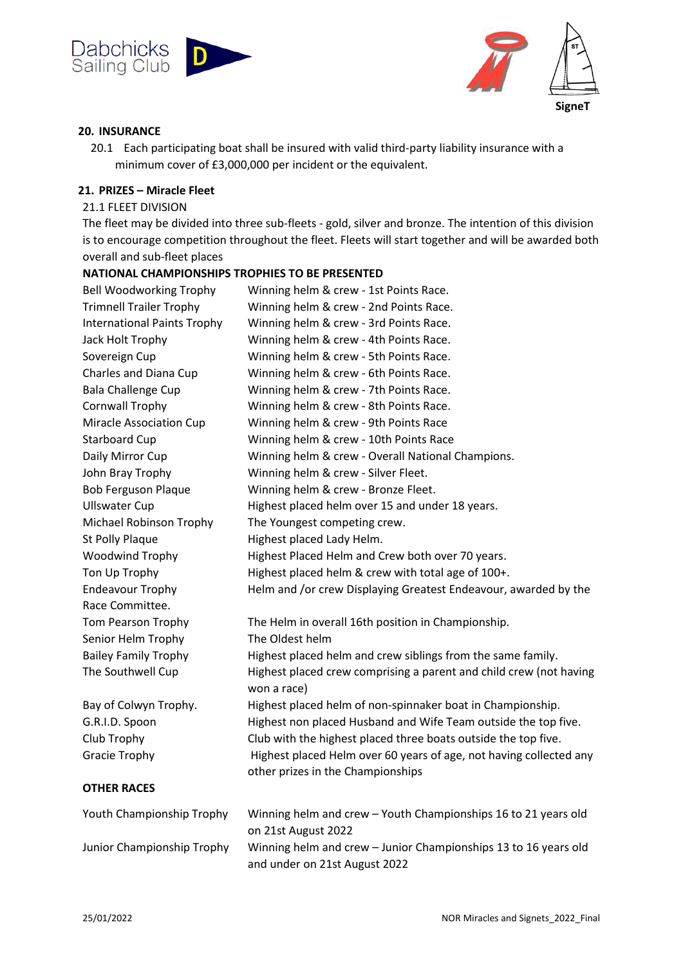



#### **20. INSURANCE**

20.1 Each participating boat shall be insured with valid third-party liability insurance with a minimum cover of £3,000,000 per incident or the equivalent.

#### **21. PRIZES – Miracle Fleet**

21.1 FLEET DIVISION

The fleet may be divided into three sub-fleets - gold, silver and bronze. The intention of this division is to encourage competition throughout the fleet. Fleets will start together and will be awarded both overall and sub-fleet places

## **NATIONAL CHAMPIONSHIPS TROPHIES TO BE PRESENTED** Bell Woodworking Trophy Winning helm & crew - 1st Points Race. Trimnell Trailer Trophy Winning helm & crew - 2nd Points Race. International Paints Trophy Winning helm & crew - 3rd Points Race. Jack Holt Trophy Winning helm & crew - 4th Points Race. Sovereign Cup Winning helm & crew - 5th Points Race. Charles and Diana Cup Winning helm & crew - 6th Points Race. Bala Challenge Cup Winning helm & crew - 7th Points Race. Cornwall Trophy Winning helm & crew - 8th Points Race. Miracle Association Cup Winning helm & crew - 9th Points Race Starboard Cup Winning helm & crew - 10th Points Race Daily Mirror Cup **Winning helm & crew - Overall National Champions.** John Bray Trophy Winning helm & crew - Silver Fleet. Bob Ferguson Plaque Winning helm & crew - Bronze Fleet. Ullswater Cup Highest placed helm over 15 and under 18 years. Michael Robinson Trophy The Youngest competing crew. St Polly Plaque Highest placed Lady Helm. Woodwind Trophy Highest Placed Helm and Crew both over 70 years. Ton Up Trophy Highest placed helm & crew with total age of 100+. Endeavour Trophy Helm and /or crew Displaying Greatest Endeavour, awarded by the Race Committee. Tom Pearson Trophy The Helm in overall 16th position in Championship. Senior Helm Trophy The Oldest helm Bailey Family Trophy Highest placed helm and crew siblings from the same family. The Southwell Cup Highest placed crew comprising a parent and child crew (not having won a race) Bay of Colwyn Trophy. Highest placed helm of non-spinnaker boat in Championship. G.R.I.D. Spoon Highest non placed Husband and Wife Team outside the top five. Club Trophy Club with the highest placed three boats outside the top five. Gracie Trophy Highest placed Helm over 60 years of age, not having collected any other prizes in the Championships **OTHER RACES** Youth Championship Trophy Winning helm and crew – Youth Championships 16 to 21 years old on 21st August 2022 Junior Championship Trophy Winning helm and crew – Junior Championships 13 to 16 years old

and under on 21st August 2022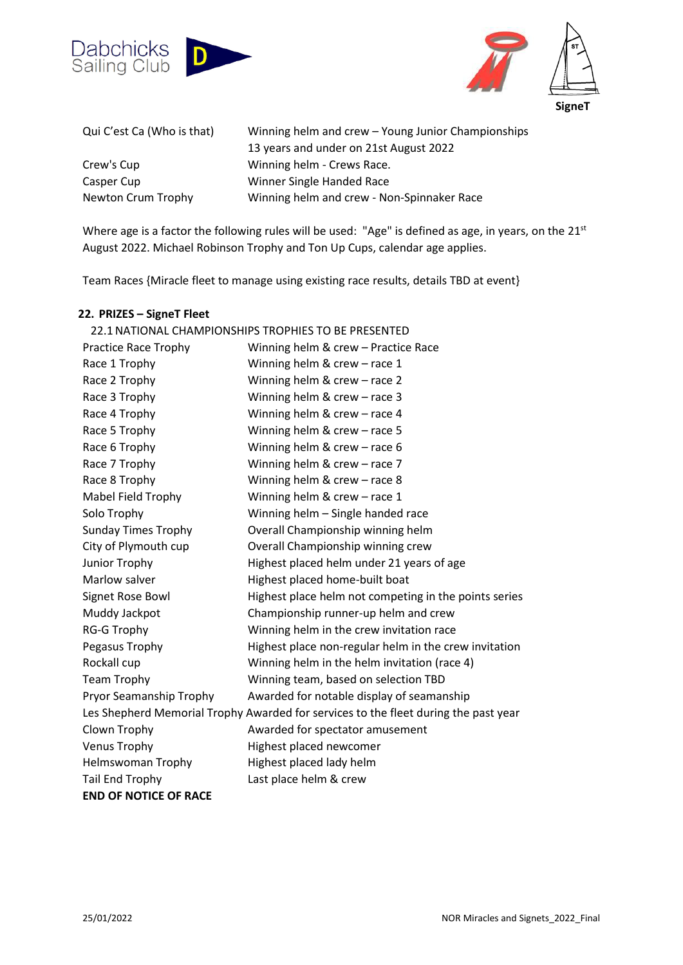



| Qui C'est Ca (Who is that) | Winning helm and crew - Young Junior Championships |
|----------------------------|----------------------------------------------------|
|                            | 13 years and under on 21st August 2022             |
| Crew's Cup                 | Winning helm - Crews Race.                         |
| Casper Cup                 | Winner Single Handed Race                          |
| Newton Crum Trophy         | Winning helm and crew - Non-Spinnaker Race         |

Where age is a factor the following rules will be used: "Age" is defined as age, in years, on the 21<sup>st</sup> August 2022. Michael Robinson Trophy and Ton Up Cups, calendar age applies.

Team Races {Miracle fleet to manage using existing race results, details TBD at event}

#### **22. PRIZES – SigneT Fleet**

|                              | 22.1 NATIONAL CHAMPIONSHIPS TROPHIES TO BE PRESENTED                                |
|------------------------------|-------------------------------------------------------------------------------------|
| <b>Practice Race Trophy</b>  | Winning helm & crew - Practice Race                                                 |
| Race 1 Trophy                | Winning helm & crew - race 1                                                        |
| Race 2 Trophy                | Winning helm & crew - race 2                                                        |
| Race 3 Trophy                | Winning helm & crew - race 3                                                        |
| Race 4 Trophy                | Winning helm & crew - race 4                                                        |
| Race 5 Trophy                | Winning helm & crew - race 5                                                        |
| Race 6 Trophy                | Winning helm & $crew - race 6$                                                      |
| Race 7 Trophy                | Winning helm & crew - race 7                                                        |
| Race 8 Trophy                | Winning helm & crew - race 8                                                        |
| Mabel Field Trophy           | Winning helm & crew - race 1                                                        |
| Solo Trophy                  | Winning helm - Single handed race                                                   |
| <b>Sunday Times Trophy</b>   | Overall Championship winning helm                                                   |
| City of Plymouth cup         | Overall Championship winning crew                                                   |
| Junior Trophy                | Highest placed helm under 21 years of age                                           |
| Marlow salver                | Highest placed home-built boat                                                      |
| Signet Rose Bowl             | Highest place helm not competing in the points series                               |
| Muddy Jackpot                | Championship runner-up helm and crew                                                |
| <b>RG-G Trophy</b>           | Winning helm in the crew invitation race                                            |
| Pegasus Trophy               | Highest place non-regular helm in the crew invitation                               |
| Rockall cup                  | Winning helm in the helm invitation (race 4)                                        |
| Team Trophy                  | Winning team, based on selection TBD                                                |
| Pryor Seamanship Trophy      | Awarded for notable display of seamanship                                           |
|                              | Les Shepherd Memorial Trophy Awarded for services to the fleet during the past year |
| Clown Trophy                 | Awarded for spectator amusement                                                     |
| <b>Venus Trophy</b>          | Highest placed newcomer                                                             |
| <b>Helmswoman Trophy</b>     | Highest placed lady helm                                                            |
| <b>Tail End Trophy</b>       | Last place helm & crew                                                              |
| <b>END OF NOTICE OF RACE</b> |                                                                                     |